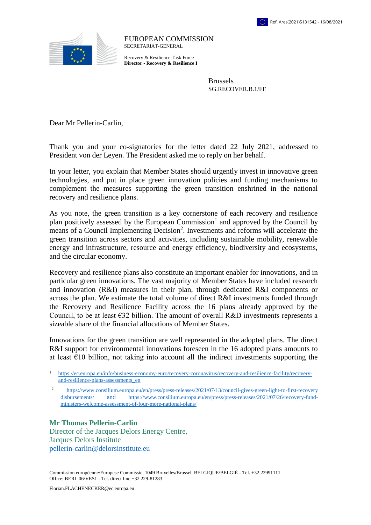

EUROPEAN COMMISSION SECRETARIAT-GENERAL

Recovery & Resilience Task Force **Director - Recovery & Resilience I**

> Brussels SG.RECOVER.B.1/FF

Dear Mr Pellerin-Carlin,

Thank you and your co-signatories for the letter dated 22 July 2021, addressed to President von der Leyen. The President asked me to reply on her behalf.

In your letter, you explain that Member States should urgently invest in innovative green technologies, and put in place green innovation policies and funding mechanisms to complement the measures supporting the green transition enshrined in the national recovery and resilience plans.

As you note, the green transition is a key cornerstone of each recovery and resilience plan positively assessed by the European Commission<sup>1</sup> and approved by the Council by means of a Council Implementing Decision<sup>2</sup>. Investments and reforms will accelerate the green transition across sectors and activities, including sustainable mobility, renewable energy and infrastructure, resource and energy efficiency, biodiversity and ecosystems, and the circular economy.

Recovery and resilience plans also constitute an important enabler for innovations, and in particular green innovations. The vast majority of Member States have included research and innovation (R&I) measures in their plan, through dedicated R&I components or across the plan. We estimate the total volume of direct R&I investments funded through the Recovery and Resilience Facility across the 16 plans already approved by the Council, to be at least  $\epsilon$ 32 billion. The amount of overall R&D investments represents a sizeable share of the financial allocations of Member States.

Innovations for the green transition are well represented in the adopted plans. The direct R&I support for environmental innovations foreseen in the 16 adopted plans amounts to at least  $E10$  billion, not taking into account all the indirect investments supporting the

**Mr Thomas Pellerin-Carlin** Director of the Jacques Delors Energy Centre, Jacques Delors Institute [pellerin-carlin@delorsinstitute.eu](mailto:pellerin-carlin@delorsinstitute.eu)

Commission européenne/Europese Commissie, 1049 Bruxelles/Brussel, BELGIQUE/BELGIË - Tel. +32 22991111 Office: BERL 06/VES1 - Tel. direct line +32 229-81283

 $\overline{a}$ 

<sup>1</sup> [https://ec.europa.eu/info/business-economy-euro/recovery-coronavirus/recovery-and-resilience-facility/recovery](https://ec.europa.eu/info/business-economy-euro/recovery-coronavirus/recovery-and-resilience-facility/recovery-and-resilience-plans-assessments_en)[and-resilience-plans-assessments\\_en](https://ec.europa.eu/info/business-economy-euro/recovery-coronavirus/recovery-and-resilience-facility/recovery-and-resilience-plans-assessments_en) 

<sup>2</sup> [https://www.consilium.europa.eu/en/press/press-releases/2021/07/13/council-gives-green-light-to-first-recovery](https://www.consilium.europa.eu/en/press/press-releases/2021/07/13/council-gives-green-light-to-first-recovery%20disbursements/)  [disbursements/](https://www.consilium.europa.eu/en/press/press-releases/2021/07/13/council-gives-green-light-to-first-recovery%20disbursements/) and [https://www.consilium.europa.eu/en/press/press-releases/2021/07/26/recovery-fund](https://www.consilium.europa.eu/en/press/press-releases/2021/07/26/recovery-fund-ministers-welcome-assessment-of-four-more-national-plans/)[ministers-welcome-assessment-of-four-more-national-plans/](https://www.consilium.europa.eu/en/press/press-releases/2021/07/26/recovery-fund-ministers-welcome-assessment-of-four-more-national-plans/)